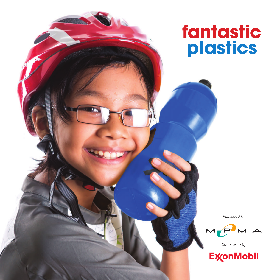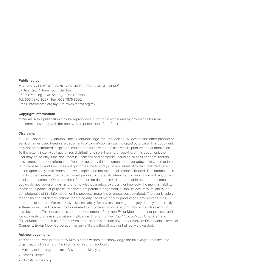#### **Published by:**

Malaysian Plastics Manufacturers Association (MPMA) 37 Jalan 20/14, Paramount Garden 46300 Petaling Jaya, Selangor Darul Ehsan Tel: 603 7876 3027 Fax: 603 7876 8352 Email: info@mpma.org.my Url: www.mpma.org.my

#### **Copyright information:**

Materials in this publication may be reproduced in part or in whole and by any means for noncommercial use only with the prior written permission of the Publisher.

#### **Disclaimer:**

©2014 ExxonMobil. ExxonMobil, the ExxonMobil logo, the interlocking "X" device and other product or service names used herein are trademarks of ExxonMobil, unless indicated otherwise. This document may not be distributed, displayed, copied or altered without ExxonMobil's prior written authorization. To the extent ExxonMobil authorizes distributing, displaying and/or copying of this document, the user may do so only if the document is unaltered and complete, including all of its headers, footers, disclaimers and other information. You may not copy this document to or reproduce it in whole or in part on a website. ExxonMobil does not guarantee the typical (or other) values. Any data included herein is based upon analysis of representative samples and not the actual product shipped. The information in this document relates only to the named product or materials when not in combination with any other product or materials. We based the information on data believed to be reliable on the date compiled, but we do not represent, warrant, or otherwise guarantee, expressly or impliedly, the merchantability, fitness for a particular purpose, freedom from patent infringement, suitability, accuracy, reliability, or completeness of this information or the products, materials or processes described. The user is solely responsible for all determinations regarding any use of material or product and any process in its territories of interest. We expressly disclaim liability for any loss, damage or injury directly or indirectly suffered or incurred as a result of or related to anyone using or relying on any of the information in this document. This document is not an endorsement of any non-ExxonMobil product or process, and we expressly disclaim any contrary implication. The terms "we," "our," "ExxonMobil Chemical" and "ExxonMobil" are each used for convenience, and may include any one or more of ExxonMobil Chemical Company, Exxon Mobil Corporation, or any affiliate either directly or indirectly stewarded.

#### **Acknowledgement:**

This handbook was prepared by MPMA and it wishes to acknowledge the following authorities and organisations for some of the information in this Handbook:

- Ministry of Housing and Local Government, Malaysia
- PlasticsEurope
- allplasticbottles.org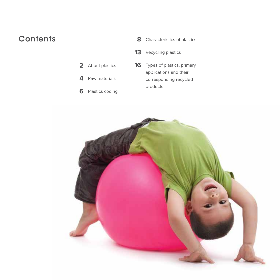**2** About plastics **4** Raw materials **6** Plastics coding **Contents 8** Characteristics of plastics 13 Recycling plastics **16** Types of plastics, primary applications and their corresponding recycled products

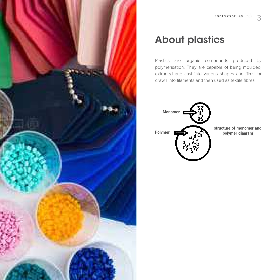

# About plastics

Plastics are organic compounds produced by polymerisation. They are capable of being moulded, extruded and cast into various shapes and films, or drawn into filaments and then used as textile fibres.

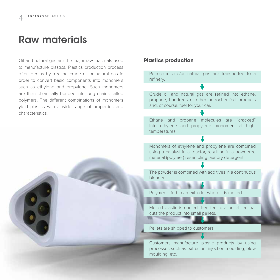# Raw materials

Oil and natural gas are the major raw materials used to manufacture plastics. Plastics production process often begins by treating crude oil or natural gas in order to convert basic components into monomers such as ethylene and propylene. Such monomers are then chemically bonded into long chains called polymers. The different combinations of monomers yield plastics with a wide range of properties and characteristics.

P

### **Plastics production**



processes such as extrusion, injection moulding, blow moulding, etc.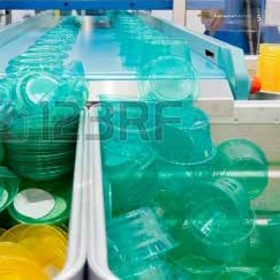٠

- -

prates

**NUMBER** 

ä,

m

**ANTIQUES** 

e per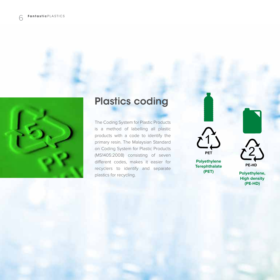

# Plastics coding

The Coding System for Plastic Products is a method of labelling all plastic products with a code to identify the primary resin. The Malaysian Standard on Coding System for Plastic Products (MS1405:2008) consisting of seven different codes, makes it easier for recyclers to identify and separate plastics for recycling.



**Polyethylene Terephthalate** 



**(PET) Polyethylene, High density (PE-HD)**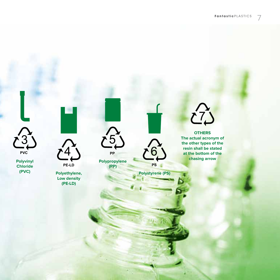

**Polyvinyl Chloride** 



**Polyethylene, Low density (PE-LD)**



**Polypropylene (PP)**

**Polystyrene (PS)**

**PS**



### **OTHERS**

**The actual acronym of the other types of the resin shall be stated at the bottom of the chasing arrow**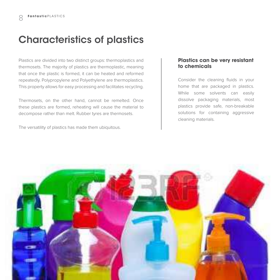# Characteristics of plastics

Plastics are divided into two distinct groups: thermoplastics and thermosets. The majority of plastics are thermoplastic, meaning that once the plastic is formed, it can be heated and reformed repeatedly. Polypropylene and Polyethylene are thermoplastics. This property allows for easy processing and facilitates recycling.

Thermosets, on the other hand, cannot be remelted. Once these plastics are formed, reheating will cause the material to decompose rather than melt. Rubber tyres are thermosets.

The versatility of plastics has made them ubiquitous.

### **Plastics can be very resistant to chemicals**

Consider the cleaning fluids in your home that are packaged in plastics. While some solvents can easily dissolve packaging materials, most plastics provide safe, non-breakable solutions for containing aggressive cleaning materials.

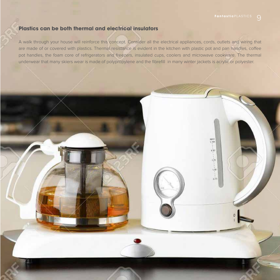# **Plastics can be both thermal and electrical insulators**

A walk through your house will reinforce this concept. Consider all the electrical appliances, cords, outlets and wiring that are made of or covered with plastics. Thermal resistance is evident in the kitchen with plastic pot and pan handles, coffee pot handles, the foam core of refrigerators and freezers, insulated cups, coolers and microwave cookware. The thermal underwear that many skiers wear is made of polypropylene and the fibrefill in many winter jackets is acrylic or polyester.

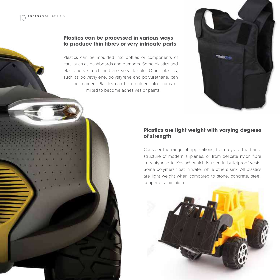## **Plastics can be processed in various ways to produce thin fibres or very intricate parts**

Plastics can be moulded into bottles or components of cars, such as dashboards and bumpers. Some plastics and elastomers stretch and are very flexible. Other plastics, such as polyethylene, polystyrene and polyurethane, can be foamed. Plastics can be moulded into drums or mixed to become adhesives or paints.



# **Plastics are light weight with varying degrees of strength**

Consider the range of applications, from toys to the frame structure of modern airplanes, or from delicate nylon fibre in pantyhose to Kevlar®, which is used in bulletproof vests. Some polymers float in water while others sink. All plastics are light weight when compared to stone, concrete, steel, copper or aluminium.

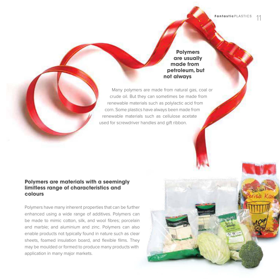## **Polymers are usually made from petroleum, but not always**

Many polymers are made from natural gas, coal or crude oil. But they can sometimes be made from renewable materials such as polylactic acid from corn. Some plastics have always been made from renewable materials such as cellulose acetate used for screwdriver handles and gift ribbon.

## **Polymers are materials with a seemingly limitless range of characteristics and colours**

Polymers have many inherent properties that can be further enhanced using a wide range of additives. Polymers can be made to mimic cotton, silk, and wool fibres; porcelain and marble; and aluminium and zinc. Polymers can also enable products not typically found in nature such as clear sheets, foamed insulation board, and flexible films. They may be moulded or formed to produce many products with application in many major markets.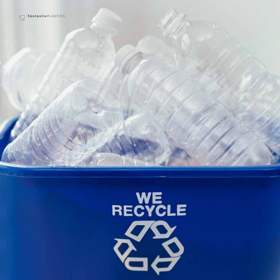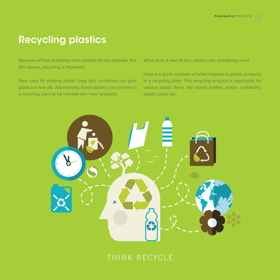# Recycling plastics

Because of their durability, most plastics do not degrade. For this reason, recycling is important.

New uses for existing plastic bags and containers can give plastics a new life. Alternatively, these plastics can be sent to a recycling plant to be remade into 'new' products.

What does it take to turn plastics into something new?

Here is a quick rundown of what happens to plastic products in a recycling plant. This recycling process is applicable for various plastic items like plastic bottles, plastic containers, plastic pipes etc.



# THINK RECYCLE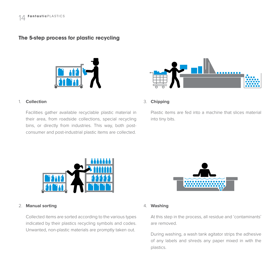# **The 5-step process for plastic recycling**





### 1. **Collection**

 Facilities gather available recyclable plastic material in their area, from roadside collections, special recycling bins, or directly from industries. This way, both postconsumer and post-industrial plastic items are collected.

### 3. **Chipping**

Plastic items are fed into a machine that slices material into tiny bits.



#### 2. **Manual sorting**

 Collected items are sorted according to the various types indicated by their plastics recycling symbols and codes. Unwanted, non-plastic materials are promptly taken out.

### 4. **Washing**

 At this step in the process, all residue and 'contaminants' are removed.

During washing, a wash tank agitator strips the adhesive of any labels and shreds any paper mixed in with the plastics.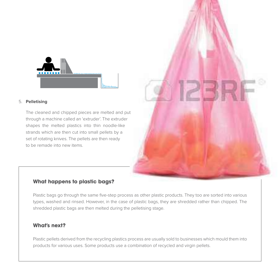

### 5. **Pelletising**

 The cleaned and chipped pieces are melted and put through a machine called an 'extruder'. The extruder shapes the melted plastics into thin noodle-like strands which are then cut into small pellets by a set of rotating knives. The pellets are then ready to be remade into new items.



# **What happens to plastic bags?**

Plastic bags go through the same five-step process as other plastic products. They too are sorted into various types, washed and rinsed. However, in the case of plastic bags, they are shredded rather than chipped. The shredded plastic bags are then melted during the pelletising stage.

# **What's next?**

Plastic pellets derived from the recycling plastics process are usually sold to businesses which mould them into products for various uses. Some products use a combination of recycled and virgin pellets.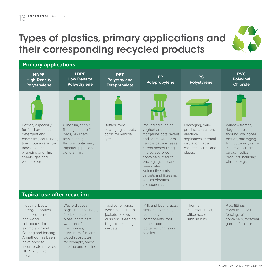# Types of plastics, primary applications and their corresponding recycled products



| <b>Primary applications</b>                                                                                                                                                                 |                                                                                                                                                        |                                                                     |                                                                                                                                                                                                                                                                                                          |                                                                                                                                    |                                                                                                                                                                                       |
|---------------------------------------------------------------------------------------------------------------------------------------------------------------------------------------------|--------------------------------------------------------------------------------------------------------------------------------------------------------|---------------------------------------------------------------------|----------------------------------------------------------------------------------------------------------------------------------------------------------------------------------------------------------------------------------------------------------------------------------------------------------|------------------------------------------------------------------------------------------------------------------------------------|---------------------------------------------------------------------------------------------------------------------------------------------------------------------------------------|
| <b>HDPE</b><br><b>High Density</b><br>Polyethylene                                                                                                                                          | <b>LDPE</b><br><b>Low Density</b><br>Polyethylene                                                                                                      | <b>PET</b><br>Polyethylene<br><b>Terephthalate</b>                  | <b>PP</b><br>Polypropylene                                                                                                                                                                                                                                                                               | <b>PS</b><br>Polystyrene                                                                                                           | <b>PVC</b><br>Polyvinyl<br><b>Chloride</b>                                                                                                                                            |
|                                                                                                                                                                                             |                                                                                                                                                        |                                                                     |                                                                                                                                                                                                                                                                                                          |                                                                                                                                    |                                                                                                                                                                                       |
| Bottles, especially<br>for food products,<br>detergent and<br>cosmetics, containers,<br>toys, houseware, fuel<br>tanks, industrial<br>wrapping and film,<br>sheets, gas and<br>waste pipes. | Cling film, shrink<br>film, agriculture film,<br>bags, bin liners,<br>toys, coatings,<br>flexible containers,<br>irrigation pipes and<br>general film. | Bottles, food<br>packaging, carpets,<br>cords for vehicle<br>tyres. | Packaging such as<br>yoghurt and<br>margarine pots, sweet<br>and snack wrappers,<br>vehicle battery cases.<br>cereal packet linings,<br>microwave-proof<br>containers, medical<br>packaging, milk and<br>beer crates.<br>Automotive parts,<br>carpets and fibres as<br>well as electrical<br>components. | Packaging, dairy<br>product containers,<br>electrical<br>appliances, thermal<br>insulation, tape<br>cassettes, cups and<br>plates. | Window frames.<br>ridged pipes,<br>flooring, wallpaper,<br>bottles, packaging<br>film, guttering, cable<br>insulation, credit<br>cards, medical<br>products including<br>plasma bags. |
| <b>Typical use after recycling</b>                                                                                                                                                          |                                                                                                                                                        |                                                                     |                                                                                                                                                                                                                                                                                                          |                                                                                                                                    |                                                                                                                                                                                       |

Industrial bags, detergent bottles, pipes, containers and wood substitutes, for example, animal flooring and fencing. A method has been developed to incorporate recycled HDPE with virgin polymers.

Waste disposal bags, industrial bags, flexible bottles. pipes, containers, waterproof membranes, agricultural film and wood substitutes, for example, animal flooring and fencing.

Textiles for bags, webbing and sails, jackets, pillows, cushions, sleeping bags, rope, string, carpets.

Milk and beer crates, timber substitutes, automotive components, tool boxes, auto batteries, chairs and textiles.

Thermal insulation, trays, office accessories. rubbish bins.

Pipe fittings, conduits, floor tiles, fencing, rails, containers, footwear, garden furniture.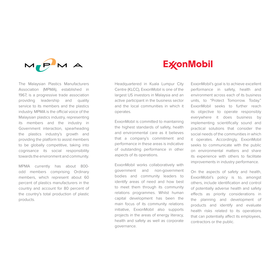

The Malaysian Plastics Manufacturers Association (MPMA), established in 1967, is a progressive trade association providing leadership and quality service to its members and the plastics industry. MPMA is the official voice of the Malaysian plastics industry, representing its members and the industry in Government interaction, spearheading the plastics industry's growth and providing the platform to assist members to be globally competitive, taking into cognisance its social responsibility towards the environment and community.

MPMA currently has about 800 odd members comprising Ordinary members, which represent about 60 percent of plastics manufacturers in the country and account for 80 percent of the country's total production of plastic products.

### Headquartered in Kuala Lumpur City Centre (KLCC), ExxonMobil is one of the largest US investors in Malaysia and an active participant in the business sector and the local communities in which it operates.

**ExconMobil** 

ExxonMobil is committed to maintaining the highest standards of safety, health and environmental care as it believes that a company's commitment and performance in these areas is indicative of outstanding performance in other aspects of its operations.

ExxonMobil works collaboratively with government and non-government bodies and community leaders to identify areas of need and how best to meet them through its community relations programmes. Whilst human capital development has been the main focus of its community relations initiative, ExxonMobil also supports projects in the areas of energy literacy, health and safety as well as corporate governance.

ExxonMobil's goal is to achieve excellent performance in safety, health and environment across each of its business units, to "Protect Tomorrow. Today." ExxonMobil seeks to further reach its objective to operate responsibly everywhere it does business by implementing scientifically sound and practical solutions that consider the social needs of the communities in which it operates. Accordingly, ExxonMobil seeks to communicate with the public on environmental matters and share its experience with others to facilitate improvements in industry performance.

On the aspects of safety and health, ExxonMobil's policy is to, amongst others, include identification and control of potentially adverse health and safety effects as priority considerations in the planning and development of products and identify and evaluate health risks related to its operations that can potentially affect its employees, contractors or the public.